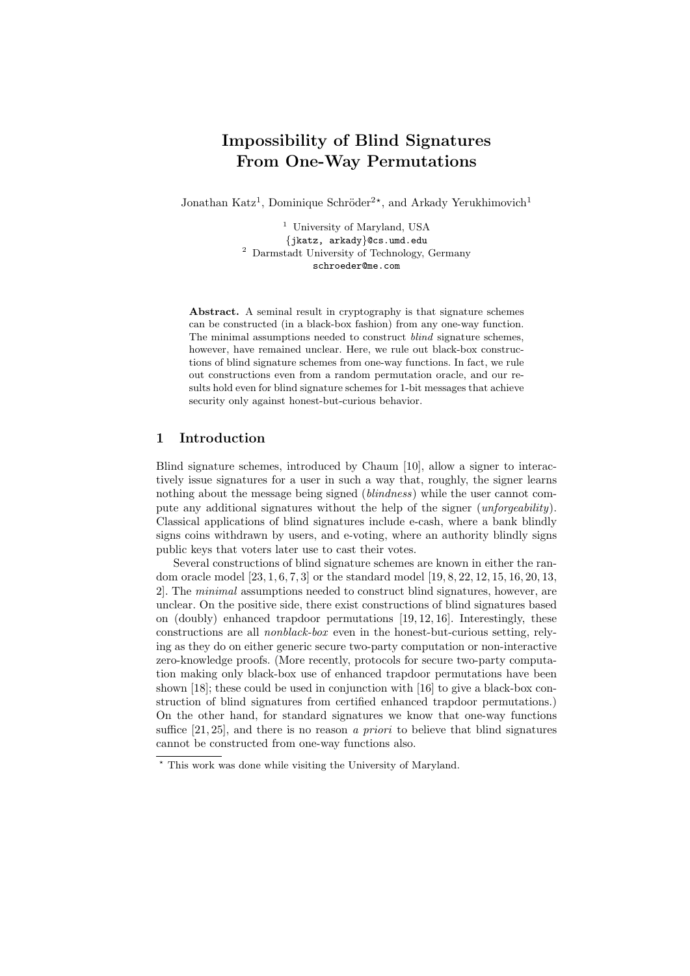# Impossibility of Blind Signatures From One-Way Permutations

Jonathan Katz<sup>1</sup>, Dominique Schröder<sup>2\*</sup>, and Arkady Yerukhimovich<sup>1</sup>

<sup>1</sup> University of Maryland, USA {jkatz, arkady}@cs.umd.edu <sup>2</sup> Darmstadt University of Technology, Germany schroeder@me.com

Abstract. A seminal result in cryptography is that signature schemes can be constructed (in a black-box fashion) from any one-way function. The minimal assumptions needed to construct *blind* signature schemes, however, have remained unclear. Here, we rule out black-box constructions of blind signature schemes from one-way functions. In fact, we rule out constructions even from a random permutation oracle, and our results hold even for blind signature schemes for 1-bit messages that achieve security only against honest-but-curious behavior.

## 1 Introduction

Blind signature schemes, introduced by Chaum [10], allow a signer to interactively issue signatures for a user in such a way that, roughly, the signer learns nothing about the message being signed (blindness) while the user cannot compute any additional signatures without the help of the signer (unforgeability). Classical applications of blind signatures include e-cash, where a bank blindly signs coins withdrawn by users, and e-voting, where an authority blindly signs public keys that voters later use to cast their votes.

Several constructions of blind signature schemes are known in either the random oracle model [23, 1, 6, 7, 3] or the standard model [19, 8, 22, 12, 15, 16, 20, 13, 2]. The minimal assumptions needed to construct blind signatures, however, are unclear. On the positive side, there exist constructions of blind signatures based on (doubly) enhanced trapdoor permutations [19, 12, 16]. Interestingly, these constructions are all nonblack-box even in the honest-but-curious setting, relying as they do on either generic secure two-party computation or non-interactive zero-knowledge proofs. (More recently, protocols for secure two-party computation making only black-box use of enhanced trapdoor permutations have been shown [18]; these could be used in conjunction with [16] to give a black-box construction of blind signatures from certified enhanced trapdoor permutations.) On the other hand, for standard signatures we know that one-way functions suffice  $[21, 25]$ , and there is no reason a priori to believe that blind signatures cannot be constructed from one-way functions also.

<sup>?</sup> This work was done while visiting the University of Maryland.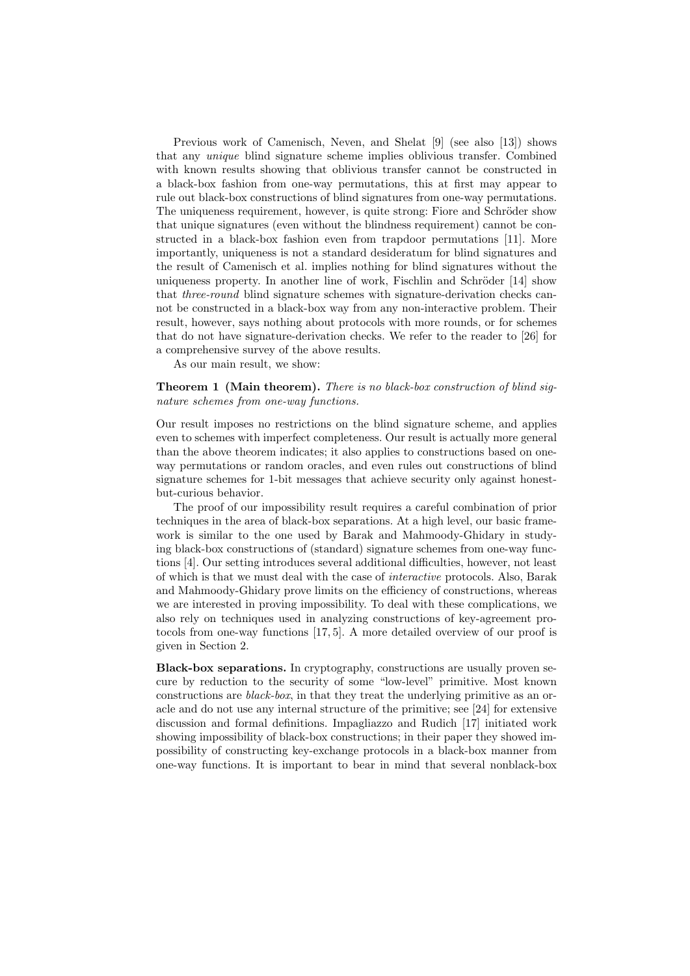Previous work of Camenisch, Neven, and Shelat [9] (see also [13]) shows that any unique blind signature scheme implies oblivious transfer. Combined with known results showing that oblivious transfer cannot be constructed in a black-box fashion from one-way permutations, this at first may appear to rule out black-box constructions of blind signatures from one-way permutations. The uniqueness requirement, however, is quite strong: Fiore and Schröder show that unique signatures (even without the blindness requirement) cannot be constructed in a black-box fashion even from trapdoor permutations [11]. More importantly, uniqueness is not a standard desideratum for blind signatures and the result of Camenisch et al. implies nothing for blind signatures without the uniqueness property. In another line of work, Fischlin and Schröder [14] show that three-round blind signature schemes with signature-derivation checks cannot be constructed in a black-box way from any non-interactive problem. Their result, however, says nothing about protocols with more rounds, or for schemes that do not have signature-derivation checks. We refer to the reader to [26] for a comprehensive survey of the above results.

As our main result, we show:

## Theorem 1 (Main theorem). There is no black-box construction of blind signature schemes from one-way functions.

Our result imposes no restrictions on the blind signature scheme, and applies even to schemes with imperfect completeness. Our result is actually more general than the above theorem indicates; it also applies to constructions based on oneway permutations or random oracles, and even rules out constructions of blind signature schemes for 1-bit messages that achieve security only against honestbut-curious behavior.

The proof of our impossibility result requires a careful combination of prior techniques in the area of black-box separations. At a high level, our basic framework is similar to the one used by Barak and Mahmoody-Ghidary in studying black-box constructions of (standard) signature schemes from one-way functions [4]. Our setting introduces several additional difficulties, however, not least of which is that we must deal with the case of interactive protocols. Also, Barak and Mahmoody-Ghidary prove limits on the efficiency of constructions, whereas we are interested in proving impossibility. To deal with these complications, we also rely on techniques used in analyzing constructions of key-agreement protocols from one-way functions [17, 5]. A more detailed overview of our proof is given in Section 2.

Black-box separations. In cryptography, constructions are usually proven secure by reduction to the security of some "low-level" primitive. Most known constructions are black-box, in that they treat the underlying primitive as an oracle and do not use any internal structure of the primitive; see [24] for extensive discussion and formal definitions. Impagliazzo and Rudich [17] initiated work showing impossibility of black-box constructions; in their paper they showed impossibility of constructing key-exchange protocols in a black-box manner from one-way functions. It is important to bear in mind that several nonblack-box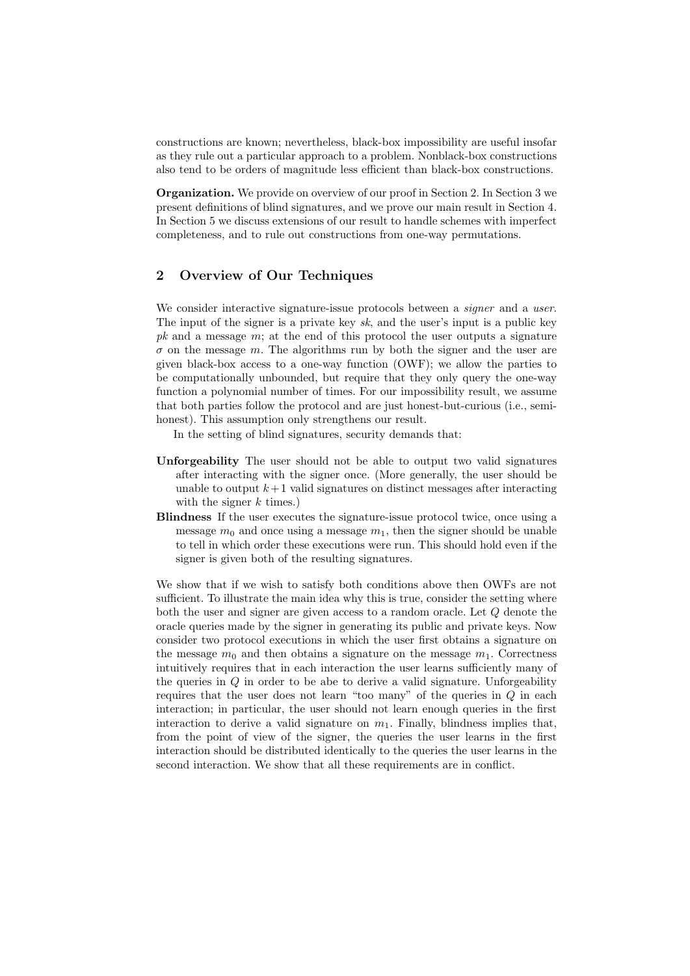constructions are known; nevertheless, black-box impossibility are useful insofar as they rule out a particular approach to a problem. Nonblack-box constructions also tend to be orders of magnitude less efficient than black-box constructions.

Organization. We provide on overview of our proof in Section 2. In Section 3 we present definitions of blind signatures, and we prove our main result in Section 4. In Section 5 we discuss extensions of our result to handle schemes with imperfect completeness, and to rule out constructions from one-way permutations.

## 2 Overview of Our Techniques

We consider interactive signature-issue protocols between a *signer* and a user. The input of the signer is a private key  $sk$ , and the user's input is a public key  $pk$  and a message  $m$ ; at the end of this protocol the user outputs a signature  $\sigma$  on the message m. The algorithms run by both the signer and the user are given black-box access to a one-way function (OWF); we allow the parties to be computationally unbounded, but require that they only query the one-way function a polynomial number of times. For our impossibility result, we assume that both parties follow the protocol and are just honest-but-curious (i.e., semihonest). This assumption only strengthens our result.

In the setting of blind signatures, security demands that:

- Unforgeability The user should not be able to output two valid signatures after interacting with the signer once. (More generally, the user should be unable to output  $k+1$  valid signatures on distinct messages after interacting with the signer  $k$  times.)
- Blindness If the user executes the signature-issue protocol twice, once using a message  $m_0$  and once using a message  $m_1$ , then the signer should be unable to tell in which order these executions were run. This should hold even if the signer is given both of the resulting signatures.

We show that if we wish to satisfy both conditions above then OWFs are not sufficient. To illustrate the main idea why this is true, consider the setting where both the user and signer are given access to a random oracle. Let Q denote the oracle queries made by the signer in generating its public and private keys. Now consider two protocol executions in which the user first obtains a signature on the message  $m_0$  and then obtains a signature on the message  $m_1$ . Correctness intuitively requires that in each interaction the user learns sufficiently many of the queries in  $Q$  in order to be abe to derive a valid signature. Unforgeability requires that the user does not learn "too many" of the queries in  $Q$  in each interaction; in particular, the user should not learn enough queries in the first interaction to derive a valid signature on  $m_1$ . Finally, blindness implies that, from the point of view of the signer, the queries the user learns in the first interaction should be distributed identically to the queries the user learns in the second interaction. We show that all these requirements are in conflict.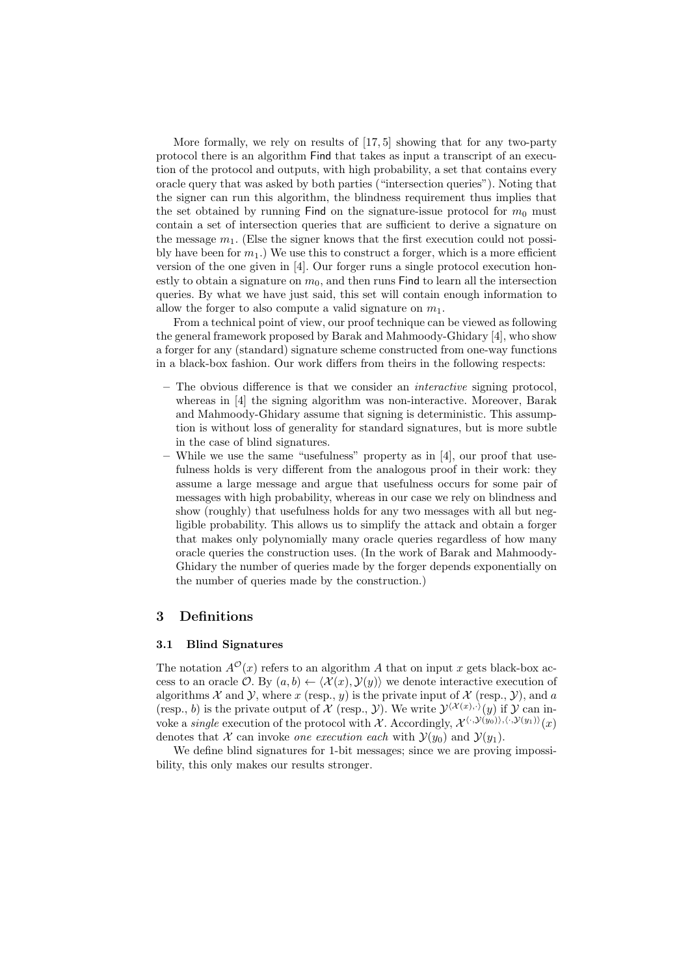More formally, we rely on results of  $[17, 5]$  showing that for any two-party protocol there is an algorithm Find that takes as input a transcript of an execution of the protocol and outputs, with high probability, a set that contains every oracle query that was asked by both parties ("intersection queries"). Noting that the signer can run this algorithm, the blindness requirement thus implies that the set obtained by running Find on the signature-issue protocol for  $m_0$  must contain a set of intersection queries that are sufficient to derive a signature on the message  $m_1$ . (Else the signer knows that the first execution could not possibly have been for  $m_1$ .) We use this to construct a forger, which is a more efficient version of the one given in [4]. Our forger runs a single protocol execution honestly to obtain a signature on  $m_0$ , and then runs Find to learn all the intersection queries. By what we have just said, this set will contain enough information to allow the forger to also compute a valid signature on  $m_1$ .

From a technical point of view, our proof technique can be viewed as following the general framework proposed by Barak and Mahmoody-Ghidary [4], who show a forger for any (standard) signature scheme constructed from one-way functions in a black-box fashion. Our work differs from theirs in the following respects:

- The obvious difference is that we consider an interactive signing protocol, whereas in [4] the signing algorithm was non-interactive. Moreover, Barak and Mahmoody-Ghidary assume that signing is deterministic. This assumption is without loss of generality for standard signatures, but is more subtle in the case of blind signatures.
- While we use the same "usefulness" property as in [4], our proof that usefulness holds is very different from the analogous proof in their work: they assume a large message and argue that usefulness occurs for some pair of messages with high probability, whereas in our case we rely on blindness and show (roughly) that usefulness holds for any two messages with all but negligible probability. This allows us to simplify the attack and obtain a forger that makes only polynomially many oracle queries regardless of how many oracle queries the construction uses. (In the work of Barak and Mahmoody-Ghidary the number of queries made by the forger depends exponentially on the number of queries made by the construction.)

#### 3 Definitions

## 3.1 Blind Signatures

The notation  $A^{\mathcal{O}}(x)$  refers to an algorithm A that on input x gets black-box access to an oracle  $\mathcal{O}$ . By  $(a, b) \leftarrow \langle \mathcal{X}(x), \mathcal{Y}(y) \rangle$  we denote interactive execution of algorithms  $X$  and  $Y$ , where  $x$  (resp.,  $y$ ) is the private input of  $X$  (resp.,  $Y$ ), and  $a$ (resp., b) is the private output of X (resp., Y). We write  $\mathcal{Y}^{(\mathcal{X}(x),\cdot)}(y)$  if Y can invoke a *single* execution of the protocol with X. Accordingly,  $\mathcal{X}^{\langle \cdot, \mathcal{Y}(y_0) \rangle, \langle \cdot, \mathcal{Y}(y_1) \rangle}(x)$ denotes that X can invoke one execution each with  $\mathcal{Y}(y_0)$  and  $\mathcal{Y}(y_1)$ .

We define blind signatures for 1-bit messages; since we are proving impossibility, this only makes our results stronger.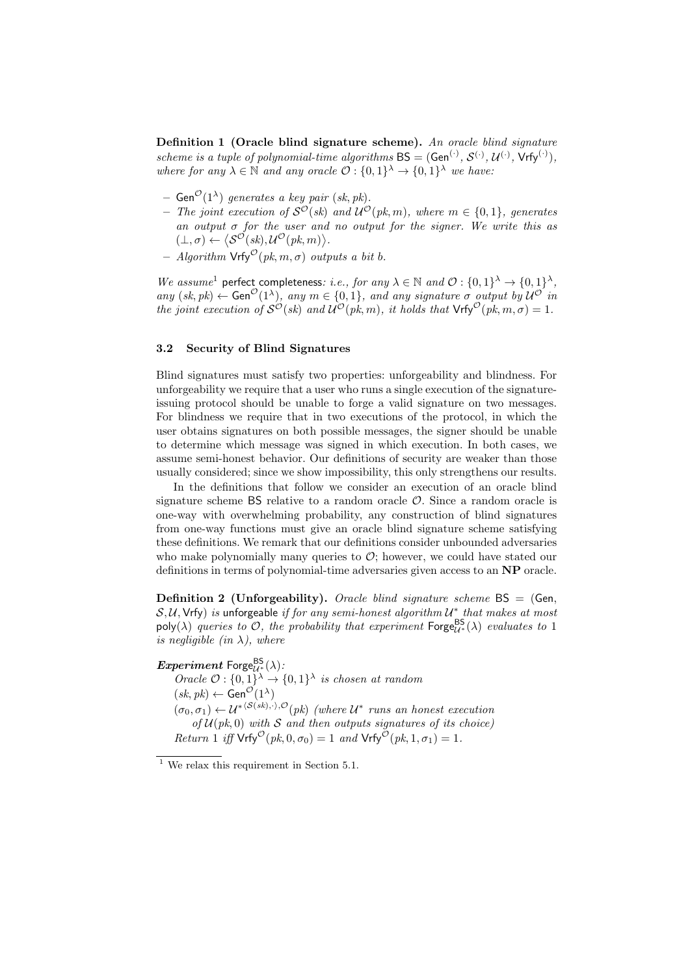Definition 1 (Oracle blind signature scheme). An oracle blind signature scheme is a tuple of polynomial-time algorithms  $BS = (Gen^{(.)}, S^{(.)}, U^{(.)}, Vrfy^{(.)}),$ where for any  $\lambda \in \mathbb{N}$  and any oracle  $\mathcal{O}: \{0,1\}^{\lambda} \to \{0,1\}^{\lambda}$  we have:

- $-$  Gen $\mathcal{O}(1^{\lambda})$  generates a key pair (sk, pk).
- The joint execution of  $S^{\mathcal{O}}(\mathit{sk})$  and  $\mathcal{U}^{\mathcal{O}}(\mathit{pk}, m)$ , where  $m \in \{0, 1\}$ , generates an output  $\sigma$  for the user and no output for the signer. We write this as  $(\bot, \sigma) \leftarrow \langle \mathcal{S}^{\mathcal{O}}(sk), \mathcal{U}^{\mathcal{O}}(pk, m) \rangle.$
- Algorithm  $\mathsf{Vrfy}^{\mathcal{O}}(pk, m, \sigma)$  outputs a bit b.

We assume<sup>1</sup> perfect completeness: i.e., for any  $\lambda \in \mathbb{N}$  and  $\mathcal{O}: \{0,1\}^{\lambda} \to \{0,1\}^{\lambda}$ , any  $(sk, pk) \leftarrow Gen^{\mathcal{O}}(1^{\lambda})$ , any  $m \in \{0, 1\}$ , and any signature  $\sigma$  output by  $\mathcal{U}^{\mathcal{O}}$  in the joint execution of  $S^{\mathcal{O}}(sk)$  and  $\mathcal{U}^{\mathcal{O}}(pk,m)$ , it holds that  $\mathsf{Vrfy}^{\mathcal{O}}(pk,m,\sigma)=1$ .

## 3.2 Security of Blind Signatures

Blind signatures must satisfy two properties: unforgeability and blindness. For unforgeability we require that a user who runs a single execution of the signatureissuing protocol should be unable to forge a valid signature on two messages. For blindness we require that in two executions of the protocol, in which the user obtains signatures on both possible messages, the signer should be unable to determine which message was signed in which execution. In both cases, we assume semi-honest behavior. Our definitions of security are weaker than those usually considered; since we show impossibility, this only strengthens our results.

In the definitions that follow we consider an execution of an oracle blind signature scheme  $BS$  relative to a random oracle  $O$ . Since a random oracle is one-way with overwhelming probability, any construction of blind signatures from one-way functions must give an oracle blind signature scheme satisfying these definitions. We remark that our definitions consider unbounded adversaries who make polynomially many queries to  $\mathcal{O}$ ; however, we could have stated our definitions in terms of polynomial-time adversaries given access to an NP oracle.

**Definition 2 (Unforgeability).** Oracle blind signature scheme  $BS = (Gen,$  $S, U, V$ rfy) is unforgeable if for any semi-honest algorithm  $U^*$  that makes at most poly( $\lambda$ ) queries to  $\mathcal{O}$ , the probability that experiment  $\mathsf{Forge}_{\mathcal{U}^*}^{\mathsf{BS}}(\lambda)$  evaluates to 1 is negligible (in  $\lambda$ ), where

 $Experiment$  Forge $^{\sf BS}_{\mathcal U^*}(\lambda)$  :

Oracle  $\mathcal{O}: \{0,1\}^{\lambda} \to \{0,1\}^{\lambda}$  is chosen at random  $(sk, pk) \leftarrow$  Gen<sup> $\mathcal{O}(1^{\lambda})$ </sup>  $(\sigma_0, \sigma_1) \leftarrow \mathcal{U}^{*(\mathcal{S}(sk), \cdot), \mathcal{O}}(pk)$  (where  $\mathcal{U}^*$  runs an honest execution of  $\mathcal{U}(pk, 0)$  with S and then outputs signatures of its choice) Return 1 iff  $\mathsf{Vrfy}^{\mathcal{O}}(pk, 0, \sigma_0) = 1$  and  $\mathsf{Vrfy}^{\mathcal{O}}(pk, 1, \sigma_1) = 1$ .

 $1$  We relax this requirement in Section 5.1.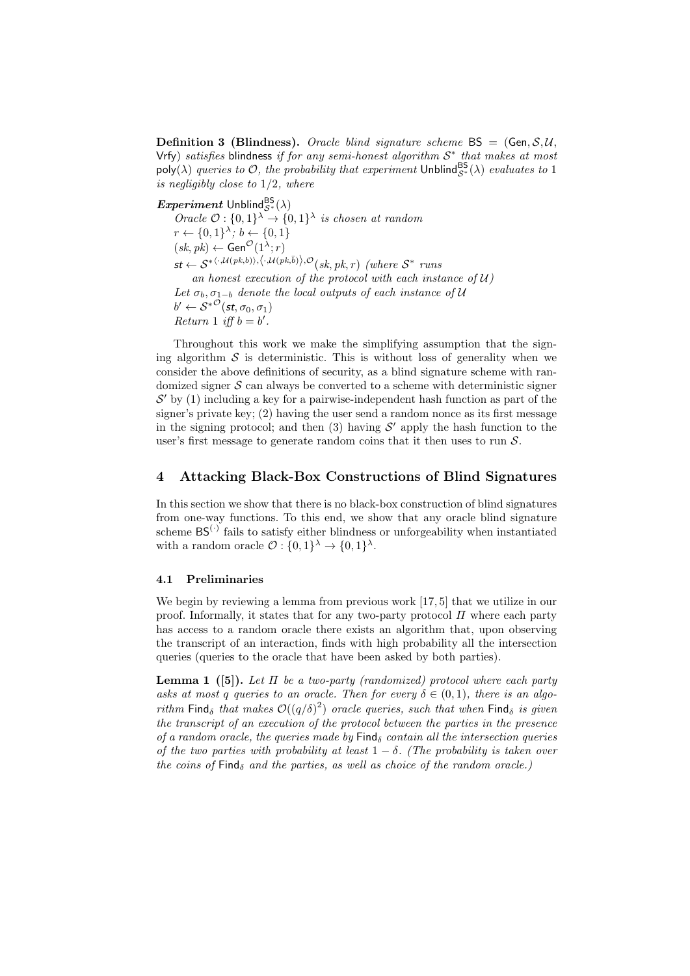**Definition 3 (Blindness).** Oracle blind signature scheme  $BS = (Gen, S, U, I)$ Vrfy) satisfies blindness if for any semi-honest algorithm  $S^*$  that makes at most poly( $\lambda$ ) queries to  $\mathcal{O}$ , the probability that experiment Unblind $S^*(\lambda)$  evaluates to 1 is negligibly close to 1/2, where

 $Experiment$  Unblind $^{BS}_{\mathcal{S}^*}(\lambda)$ Oracle  $\mathcal{O}: \{0,1\}^{\lambda} \to \{0,1\}^{\lambda}$  is chosen at random  $r \leftarrow \{0,1\}^{\lambda}; b \leftarrow \{0,1\}$  $(sk, pk) \leftarrow$  Gen<sup> $\mathcal{O}(1^{\lambda}; r)$ </sup>  $\mathsf{st} \leftarrow \mathcal{S}^{*(\cdot,\mathcal{U}(pk,b)),\langle\cdot,\mathcal{U}(pk,\bar{b})\rangle,\mathcal{O}}(sk,pk,r)$  (where  $\mathcal{S}^{*}$  runs an honest execution of the protocol with each instance of  $U$ ) Let  $\sigma_b$ ,  $\sigma_{1-b}$  denote the local outputs of each instance of U  $b' \leftarrow \mathcal{S}^{*\mathcal{O}}(\textit{st}, \sigma_0, \sigma_1)$ Return 1 iff  $b = b'$ .

Throughout this work we make the simplifying assumption that the signing algorithm  $S$  is deterministic. This is without loss of generality when we consider the above definitions of security, as a blind signature scheme with randomized signer  $S$  can always be converted to a scheme with deterministic signer  $S'$  by (1) including a key for a pairwise-independent hash function as part of the signer's private key; (2) having the user send a random nonce as its first message in the signing protocol; and then  $(3)$  having  $\mathcal{S}'$  apply the hash function to the user's first message to generate random coins that it then uses to run  $S$ .

## 4 Attacking Black-Box Constructions of Blind Signatures

In this section we show that there is no black-box construction of blind signatures from one-way functions. To this end, we show that any oracle blind signature scheme  $BS^{(\cdot)}$  fails to satisfy either blindness or unforgeability when instantiated with a random oracle  $\mathcal{O}: \{0,1\}^{\lambda} \to \{0,1\}^{\lambda}$ .

#### 4.1 Preliminaries

We begin by reviewing a lemma from previous work [17, 5] that we utilize in our proof. Informally, it states that for any two-party protocol  $\Pi$  where each party has access to a random oracle there exists an algorithm that, upon observing the transcript of an interaction, finds with high probability all the intersection queries (queries to the oracle that have been asked by both parties).

**Lemma 1** ([5]). Let  $\Pi$  be a two-party (randomized) protocol where each party asks at most q queries to an oracle. Then for every  $\delta \in (0,1)$ , there is an algorithm Find<sub>δ</sub> that makes  $\mathcal{O}((q/\delta)^2)$  oracle queries, such that when Find<sub>δ</sub> is given the transcript of an execution of the protocol between the parties in the presence of a random oracle, the queries made by  $\text{Find}_{\delta}$  contain all the intersection queries of the two parties with probability at least  $1 - \delta$ . (The probability is taken over the coins of  $\text{Find}_{\delta}$  and the parties, as well as choice of the random oracle.)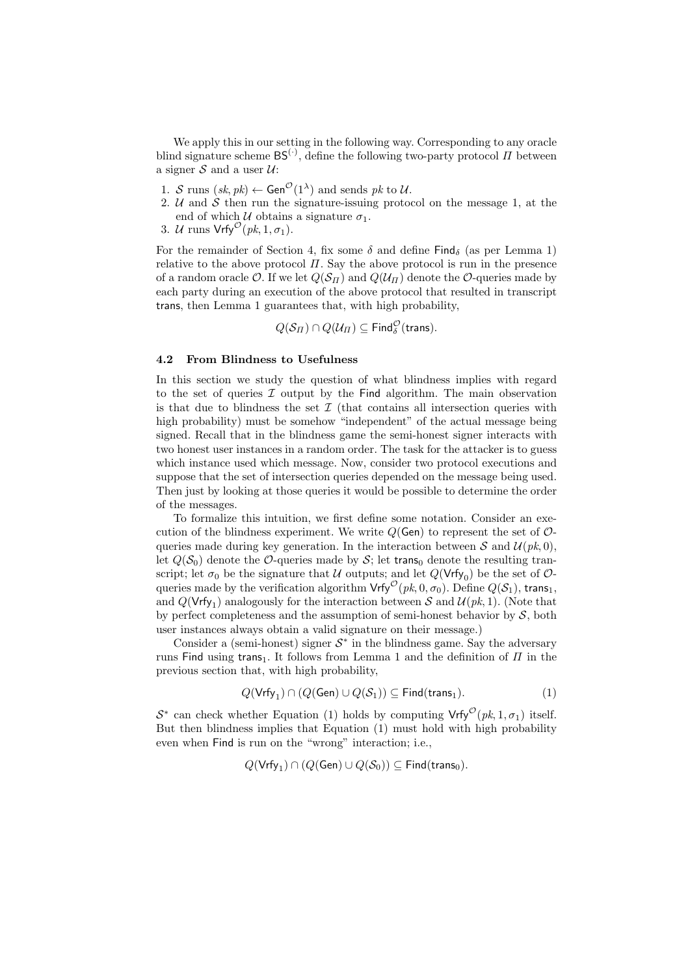We apply this in our setting in the following way. Corresponding to any oracle blind signature scheme  $BS^{(\cdot)}$ , define the following two-party protocol  $\Pi$  between a signer  $S$  and a user  $U$ :

- 1. S runs  $(sk, pk) \leftarrow$  Gen<sup> $\mathcal{O}(1^{\lambda})$ </sup> and sends pk to U.
- 2.  $U$  and  $S$  then run the signature-issuing protocol on the message 1, at the end of which  $\mathcal U$  obtains a signature  $\sigma_1$ .
- 3. U runs  $Vrfy^{\mathcal{O}}(pk, 1, \sigma_1)$ .

For the remainder of Section 4, fix some  $\delta$  and define Find<sub> $\delta$ </sub> (as per Lemma 1) relative to the above protocol  $\Pi$ . Say the above protocol is run in the presence of a random oracle  $\mathcal{O}$ . If we let  $Q(\mathcal{S}_{\Pi})$  and  $Q(\mathcal{U}_{\Pi})$  denote the  $\mathcal{O}$ -queries made by each party during an execution of the above protocol that resulted in transcript trans, then Lemma 1 guarantees that, with high probability,

 $Q(\mathcal{S}_\varPi) \cap Q(\mathcal{U}_\varPi) \subseteq \mathsf{Find}^\mathcal{O}_\delta(\mathsf{trans}).$ 

## 4.2 From Blindness to Usefulness

In this section we study the question of what blindness implies with regard to the set of queries  $\mathcal I$  output by the Find algorithm. The main observation is that due to blindness the set  $\mathcal I$  (that contains all intersection queries with high probability) must be somehow "independent" of the actual message being signed. Recall that in the blindness game the semi-honest signer interacts with two honest user instances in a random order. The task for the attacker is to guess which instance used which message. Now, consider two protocol executions and suppose that the set of intersection queries depended on the message being used. Then just by looking at those queries it would be possible to determine the order of the messages.

To formalize this intuition, we first define some notation. Consider an execution of the blindness experiment. We write  $Q(\mathsf{Gen})$  to represent the set of  $\mathcal{O}$ queries made during key generation. In the interaction between S and  $\mathcal{U}(pk, 0)$ , let  $Q(S_0)$  denote the O-queries made by S; let trans<sub>0</sub> denote the resulting transcript; let  $\sigma_0$  be the signature that U outputs; and let  $Q(\nVrfy_0)$  be the set of  $\mathcal{O}$ queries made by the verification algorithm  $\mathsf{Vrfy}^{\mathcal{O}}(pk, 0, \sigma_0)$ . Define  $Q(\mathcal{S}_1)$ , trans<sub>1</sub>, and  $Q(\text{Vrfy}_1)$  analogously for the interaction between S and  $\mathcal{U}(pk, 1)$ . (Note that by perfect completeness and the assumption of semi-honest behavior by  $S$ , both user instances always obtain a valid signature on their message.)

Consider a (semi-honest) signer  $S^*$  in the blindness game. Say the adversary runs Find using trans<sub>1</sub>. It follows from Lemma 1 and the definition of  $\Pi$  in the previous section that, with high probability,

$$
Q(\mathsf{Vrfy}_1) \cap (Q(\mathsf{Gen}) \cup Q(\mathcal{S}_1)) \subseteq \mathsf{Find}(\mathsf{trans}_1). \tag{1}
$$

 $S^*$  can check whether Equation (1) holds by computing  $Vrfy^{\mathcal{O}}(pk, 1, \sigma_1)$  itself. But then blindness implies that Equation (1) must hold with high probability even when Find is run on the "wrong" interaction; i.e.,

$$
Q(\mathsf{Vrfy}_1) \cap (Q(\mathsf{Gen}) \cup Q(\mathcal{S}_0)) \subseteq \mathsf{Find}(\mathsf{trans}_0).
$$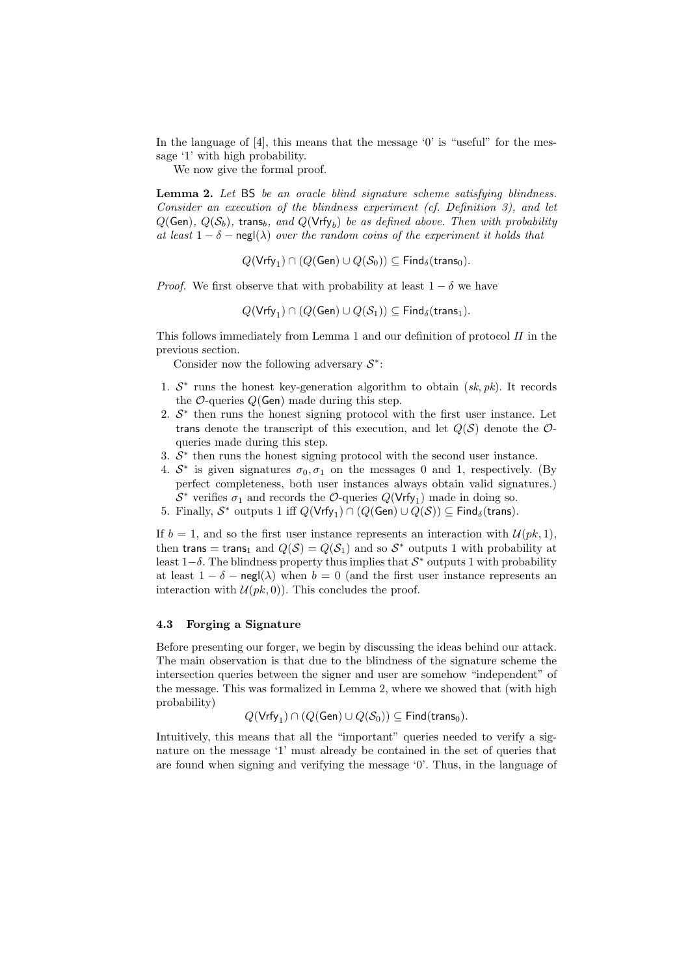In the language of  $[4]$ , this means that the message '0' is "useful" for the message '1' with high probability.

We now give the formal proof.

Lemma 2. Let BS be an oracle blind signature scheme satisfying blindness. Consider an execution of the blindness experiment (cf. Definition 3), and let  $Q(\mathsf{Gen}),\ Q(\mathcal{S}_b)$ , trans<sub>b</sub>, and  $Q(\mathsf{Vrfy}_b)$  be as defined above. Then with probability at least  $1 - \delta$  – negl( $\lambda$ ) over the random coins of the experiment it holds that

 $Q(\mathsf{Vrfy}_1) \cap (Q(\mathsf{Gen}) \cup Q(\mathcal{S}_0)) \subseteq \mathsf{Find}_{\delta}(\mathsf{trans}_0).$ 

*Proof.* We first observe that with probability at least  $1 - \delta$  we have

 $Q(\mathsf{Vrfy}_1) \cap (Q(\mathsf{Gen}) \cup Q(\mathcal{S}_1)) \subseteq \mathsf{Find}_{\delta}(\mathsf{trans}_1).$ 

This follows immediately from Lemma 1 and our definition of protocol  $\Pi$  in the previous section.

Consider now the following adversary  $S^*$ :

- 1.  $S^*$  runs the honest key-generation algorithm to obtain  $(sk, pk)$ . It records the  $\mathcal{O}\text{-}$ queries  $\mathcal{O}(\mathsf{Gen})$  made during this step.
- 2.  $S^*$  then runs the honest signing protocol with the first user instance. Let trans denote the transcript of this execution, and let  $Q(S)$  denote the  $\mathcal{O}$ queries made during this step.
- 3.  $S^*$  then runs the honest signing protocol with the second user instance.
- 4.  $S^*$  is given signatures  $\sigma_0, \sigma_1$  on the messages 0 and 1, respectively. (By perfect completeness, both user instances always obtain valid signatures.)  $S^*$  verifies  $\sigma_1$  and records the  $\mathcal{O}\text{-}$ queries  $Q(\mathsf{Vrfy}_1)$  made in doing so.
- 5. Finally,  $S^*$  outputs 1 iff  $Q(\mathsf{Vrfy}_1) \cap (Q(\mathsf{Gen}) \cup Q(\mathcal{S})) \subseteq \mathsf{Find}_{\delta}(\mathsf{trans}).$

If  $b = 1$ , and so the first user instance represents an interaction with  $\mathcal{U}(pk, 1)$ , then trans = trans<sub>1</sub> and  $Q(S) = Q(S_1)$  and so  $S^*$  outputs 1 with probability at least  $1-\delta$ . The blindness property thus implies that  $\mathcal{S}^*$  outputs 1 with probability at least  $1 - \delta$  – negl( $\lambda$ ) when  $b = 0$  (and the first user instance represents an interaction with  $\mathcal{U}(pk, 0)$ . This concludes the proof.

#### 4.3 Forging a Signature

Before presenting our forger, we begin by discussing the ideas behind our attack. The main observation is that due to the blindness of the signature scheme the intersection queries between the signer and user are somehow "independent" of the message. This was formalized in Lemma 2, where we showed that (with high probability)

$$
Q(\mathsf{Vrfy}_1) \cap (Q(\mathsf{Gen}) \cup Q(\mathcal{S}_0)) \subseteq \mathsf{Find}(\mathsf{trans}_0).
$$

Intuitively, this means that all the "important" queries needed to verify a signature on the message '1' must already be contained in the set of queries that are found when signing and verifying the message '0'. Thus, in the language of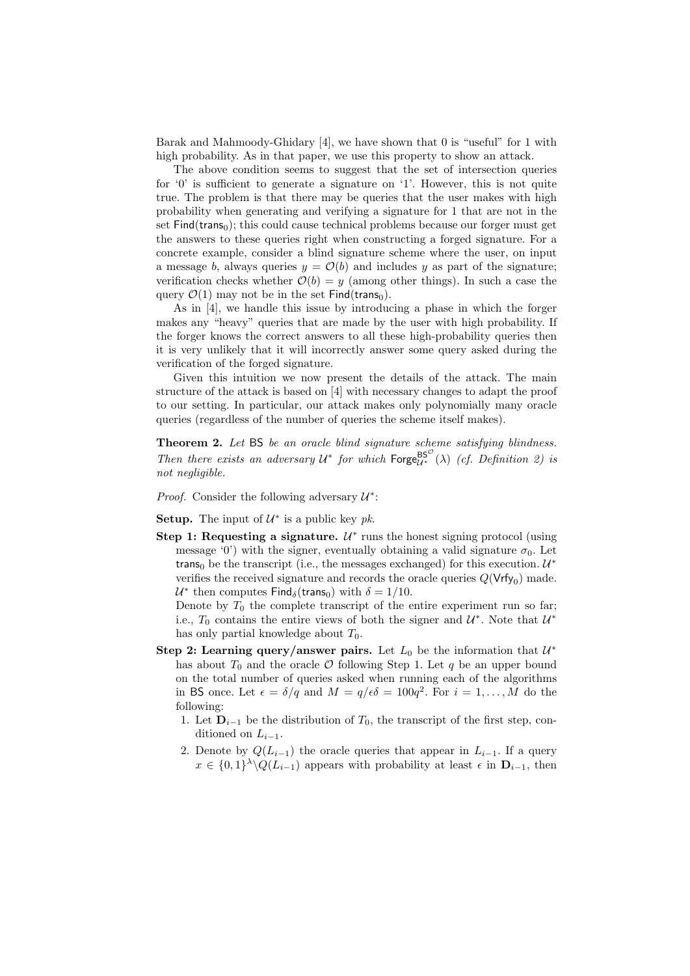Barak and Mahmoody-Ghidary [4], we have shown that 0 is "useful" for 1 with high probability. As in that paper, we use this property to show an attack.

The above condition seems to suggest that the set of intersection queries for '0' is sufficient to generate a signature on '1'. However, this is not quite true. The problem is that there may be queries that the user makes with high probability when generating and verifying a signature for 1 that are not in the set  $Find(trans<sub>0</sub>)$ ; this could cause technical problems because our forger must get the answers to these queries right when constructing a forged signature. For a concrete example, consider a blind signature scheme where the user, on input a message b, always queries  $y = \mathcal{O}(b)$  and includes y as part of the signature; verification checks whether  $\mathcal{O}(b) = y$  (among other things). In such a case the query  $\mathcal{O}(1)$  may not be in the set Find(trans<sub>0</sub>).

As in [4], we handle this issue by introducing a phase in which the forger makes any "heavy" queries that are made by the user with high probability. If the forger knows the correct answers to all these high-probability queries then it is very unlikely that it will incorrectly answer some query asked during the verification of the forged signature.

Given this intuition we now present the details of the attack. The main structure of the attack is based on [4] with necessary changes to adapt the proof to our setting. In particular, our attack makes only polynomially many oracle queries (regardless of the number of queries the scheme itself makes).

Theorem 2. Let BS be an oracle blind signature scheme satisfying blindness. Then there exists an adversary  $U^*$  for which  $\text{Forge}_{U^*}^{\text{BS}^{\mathcal{O}}}(\lambda)$  (cf. Definition 2) is not negligible.

*Proof.* Consider the following adversary  $U^*$ :

**Setup.** The input of  $\mathcal{U}^*$  is a public key pk.

Step 1: Requesting a signature.  $\mathcal{U}^*$  runs the honest signing protocol (using message '0') with the signer, eventually obtaining a valid signature  $\sigma_0$ . Let trans<sub>0</sub> be the transcript (i.e., the messages exchanged) for this execution.  $U^*$ verifies the received signature and records the oracle queries  $Q(\nVrfy_0)$  made.  $U^*$  then computes  $\mathsf{Find}_{\delta}(\mathsf{trans}_0)$  with  $\delta = 1/10$ .

Denote by  $T_0$  the complete transcript of the entire experiment run so far; i.e.,  $T_0$  contains the entire views of both the signer and  $\mathcal{U}^*$ . Note that  $\mathcal{U}^*$ has only partial knowledge about  $T_0$ .

- Step 2: Learning query/answer pairs. Let  $L_0$  be the information that  $\mathcal{U}^*$ has about  $T_0$  and the oracle  $\mathcal O$  following Step 1. Let  $q$  be an upper bound on the total number of queries asked when running each of the algorithms in BS once. Let  $\epsilon = \delta/q$  and  $M = q/\epsilon \delta = 100q^2$ . For  $i = 1, ..., M$  do the following:
	- 1. Let  $D_{i-1}$  be the distribution of  $T_0$ , the transcript of the first step, conditioned on  $L_{i-1}$ .
	- 2. Denote by  $Q(L_{i-1})$  the oracle queries that appear in  $L_{i-1}$ . If a query  $x \in \{0,1\}^{\lambda} \backslash Q(L_{i-1})$  appears with probability at least  $\epsilon$  in  $\mathbf{D}_{i-1}$ , then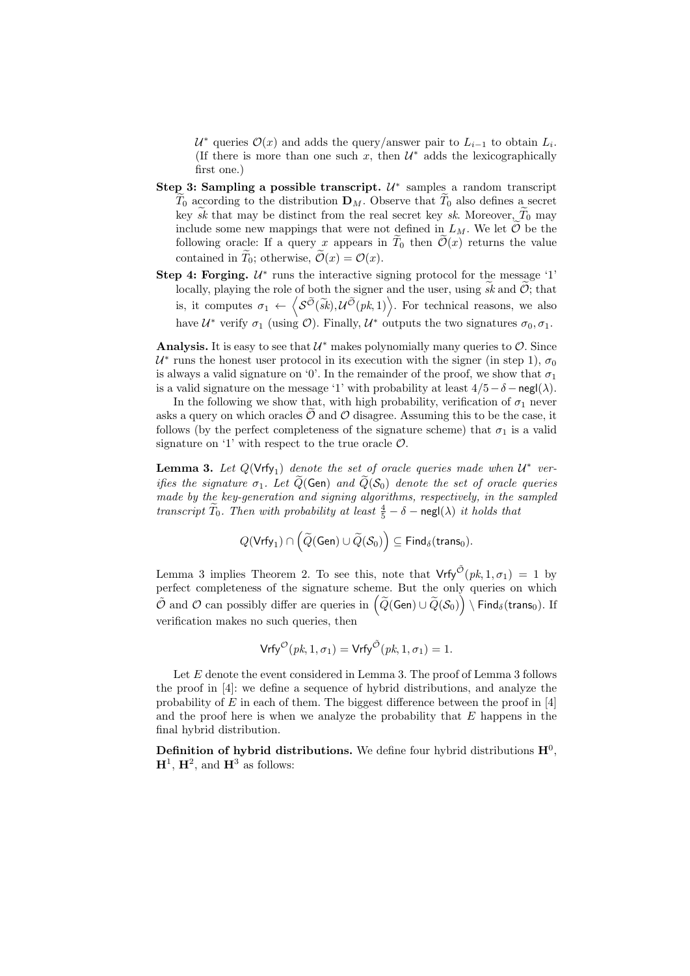$\mathcal{U}^*$  queries  $\mathcal{O}(x)$  and adds the query/answer pair to  $L_{i-1}$  to obtain  $L_i$ . (If there is more than one such x, then  $\mathcal{U}^*$  adds the lexicographically first one.)

- Step 3: Sampling a possible transcript.  $\mathcal{U}^*$  samples a random transcript  $T_0$  according to the distribution  $\mathbf{D}_M$ . Observe that  $T_0$  also defines a secret key sk that may be distinct from the real secret key sk. Moreover,  $T_0$  may include some new mappings that were not defined in  $L_M$ . We let  $\mathcal O$  be the following oracle: If a query x appears in  $T_0$  then  $\mathcal{O}(x)$  returns the value contained in  $T_0$ ; otherwise,  $\mathcal{O}(x) = \mathcal{O}(x)$ .
- Step 4: Forging.  $U^*$  runs the interactive signing protocol for the message '1' locally, playing the role of both the signer and the user, using  $\widetilde{sk}$  and  $\widetilde{O}$ ; that is, it computes  $\sigma_1 \leftarrow \left\langle \mathcal{S}^{\tilde{\mathcal{O}}}(\tilde{s}k), \mathcal{U}^{\tilde{\mathcal{O}}}(pk,1) \right\rangle$ . For technical reasons, we also have  $\mathcal{U}^*$  verify  $\sigma_1$  (using  $\mathcal{O}$ ). Finally,  $\mathcal{U}^*$  outputs the two signatures  $\sigma_0, \sigma_1$ .

Analysis. It is easy to see that  $\mathcal{U}^*$  makes polynomially many queries to  $\mathcal{O}$ . Since  $\mathcal{U}^*$  runs the honest user protocol in its execution with the signer (in step 1),  $\sigma_0$ is always a valid signature on '0'. In the remainder of the proof, we show that  $\sigma_1$ is a valid signature on the message '1' with probability at least  $4/5 - \delta - \text{negl}(\lambda)$ .

In the following we show that, with high probability, verification of  $\sigma_1$  never asks a query on which oracles  $\mathcal O$  and  $\mathcal O$  disagree. Assuming this to be the case, it follows (by the perfect completeness of the signature scheme) that  $\sigma_1$  is a valid signature on '1' with respect to the true oracle  $\mathcal{O}$ .

**Lemma 3.** Let  $Q(\nVrfy_1)$  denote the set of oracle queries made when  $U^*$  verifies the signature  $\sigma_1$ . Let  $\widetilde{Q}(\mathsf{Gen})$  and  $\widetilde{Q}(\mathcal{S}_0)$  denote the set of oracle queries made by the key-generation and signing algorithms, respectively, in the sampled transcript  $\widetilde{T}_0$ . Then with probability at least  $\frac{4}{5} - \delta$  – negl( $\lambda$ ) it holds that

$$
Q(\mathsf{Vrfy}_1) \cap \left(\widetilde{Q}(\mathsf{Gen}) \cup \widetilde{Q}(\mathcal{S}_0)\right) \subseteq \mathsf{Find}_{\delta}(\mathsf{trans}_0).
$$

Lemma 3 implies Theorem 2. To see this, note that  $Vrfy^{\tilde{\mathcal{O}}}(pk, 1, \sigma_1) = 1$  by perfect completeness of the signature scheme. But the only queries on which  $\tilde{\mathcal{O}}$  and  $\mathcal{O}$  can possibly differ are queries in  $\left(\widetilde{Q}(\mathsf{Gen}) \cup \widetilde{Q}(\mathcal{S}_0)\right) \setminus \mathsf{Find}_\delta(\mathsf{trans}_0).$  If verification makes no such queries, then

$$
\mathsf{Vrfy}^{\mathcal{O}}(pk, 1, \sigma_1) = \mathsf{Vrfy}^{\tilde{\mathcal{O}}}(pk, 1, \sigma_1) = 1.
$$

Let  $E$  denote the event considered in Lemma 3. The proof of Lemma 3 follows the proof in [4]: we define a sequence of hybrid distributions, and analyze the probability of  $E$  in each of them. The biggest difference between the proof in [4] and the proof here is when we analyze the probability that  $E$  happens in the final hybrid distribution.

Definition of hybrid distributions. We define four hybrid distributions  $\mathbf{H}^0$ ,  $H^1$ ,  $H^2$ , and  $H^3$  as follows: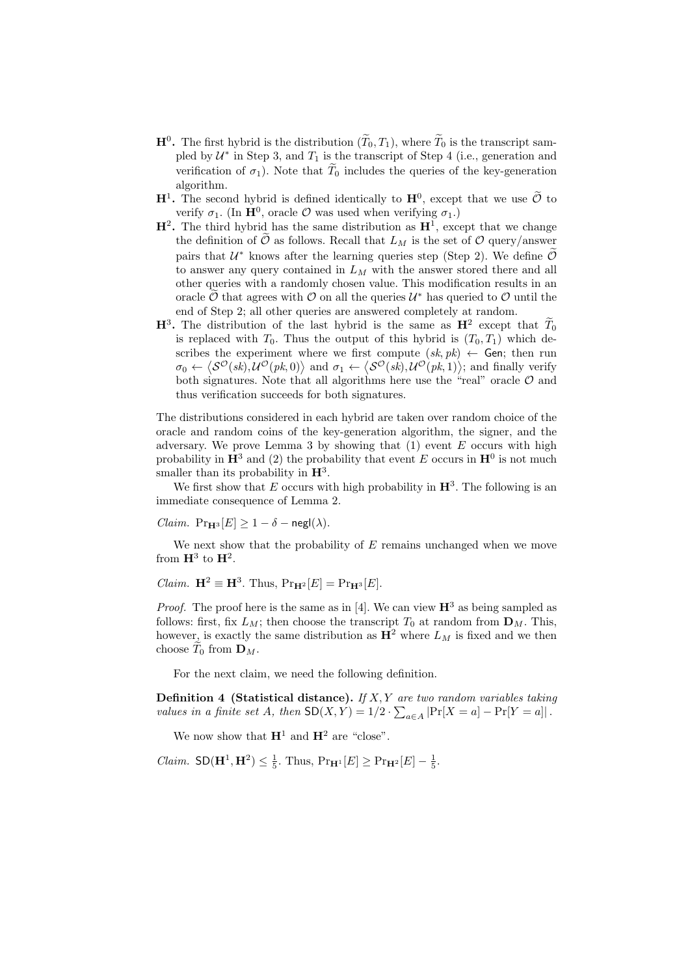- $\mathbf{H}^0$ . The first hybrid is the distribution  $(\tilde{T}_0, T_1)$ , where  $\tilde{T}_0$  is the transcript sampled by  $\mathcal{U}^*$  in Step 3, and  $T_1$  is the transcript of Step 4 (i.e., generation and verification of  $\sigma_1$ ). Note that  $\widetilde{T}_0$  includes the queries of the key-generation algorithm.
- $\mathbf{H}^1$ . The second hybrid is defined identically to  $\mathbf{H}^0$ , except that we use  $\tilde{\mathcal{O}}$  to verify  $\sigma_1$ . (In  $\mathbf{H}^0$ , oracle  $\mathcal O$  was used when verifying  $\sigma_1$ .)
- $\mathbf{H}^2$ . The third hybrid has the same distribution as  $\mathbf{H}^1$ , except that we change the definition of  $\hat{\mathcal{O}}$  as follows. Recall that  $L_M$  is the set of  $\mathcal{O}$  query/answer pairs that  $U^*$  knows after the learning queries step (Step 2). We define  $\tilde{O}$ to answer any query contained in  $L_M$  with the answer stored there and all other queries with a randomly chosen value. This modification results in an oracle  $\tilde{\mathcal{O}}$  that agrees with  $\mathcal{O}$  on all the queries  $\mathcal{U}^*$  has queried to  $\mathcal{O}$  until the end of Step 2; all other queries are answered completely at random.
- $\mathbf{H}^3$ . The distribution of the last hybrid is the same as  $\mathbf{H}^2$  except that  $T_0$ is replaced with  $T_0$ . Thus the output of this hybrid is  $(T_0, T_1)$  which describes the experiment where we first compute  $(sk, pk) \leftarrow$  Gen; then run  $\sigma_0 \leftarrow \langle \mathcal{S}^{\mathcal{O}}(\mathit{sk}), \mathcal{U}^{\mathcal{O}}(\mathit{pk}, 0) \rangle$  and  $\sigma_1 \leftarrow \langle \mathcal{S}^{\mathcal{O}}(\mathit{sk}), \mathcal{U}^{\mathcal{O}}(\mathit{pk}, 1) \rangle$ ; and finally verify both signatures. Note that all algorithms here use the "real" oracle  $\mathcal O$  and thus verification succeeds for both signatures.

The distributions considered in each hybrid are taken over random choice of the oracle and random coins of the key-generation algorithm, the signer, and the adversary. We prove Lemma 3 by showing that  $(1)$  event E occurs with high probability in  $\mathbb{H}^3$  and (2) the probability that event E occurs in  $\mathbb{H}^0$  is not much smaller than its probability in  $H^3$ .

We first show that E occurs with high probability in  $\mathbb{H}^3$ . The following is an immediate consequence of Lemma 2.

*Claim.*  $Pr_{H^3}[E] \ge 1 - \delta - negl(\lambda)$ .

We next show that the probability of  $E$  remains unchanged when we move from  $\mathbf{H}^3$  to  $\mathbf{H}^2$ .

*Claim.*  $\mathbf{H}^2 \equiv \mathbf{H}^3$ . Thus,  $\Pr_{\mathbf{H}^2}[E] = \Pr_{\mathbf{H}^3}[E]$ .

*Proof.* The proof here is the same as in [4]. We can view  $\mathbf{H}^3$  as being sampled as follows: first, fix  $L_M$ ; then choose the transcript  $T_0$  at random from  $\mathbf{D}_M$ . This, however, is exactly the same distribution as  $H^2$  where  $L_M$  is fixed and we then choose  $T_0$  from  $\mathbf{D}_M$ .

For the next claim, we need the following definition.

**Definition 4 (Statistical distance).** If  $X, Y$  are two random variables taking values in a finite set A, then  $SD(X, Y) = 1/2 \cdot \sum_{a \in A} |Pr[X = a] - Pr[Y = a]|$ .

We now show that  $\mathbf{H}^1$  and  $\mathbf{H}^2$  are "close".

*Claim.*  $SD(\mathbf{H}^1, \mathbf{H}^2) \le \frac{1}{5}$ . Thus,  $Pr_{\mathbf{H}^1}[E] \ge Pr_{\mathbf{H}^2}[E] - \frac{1}{5}$ .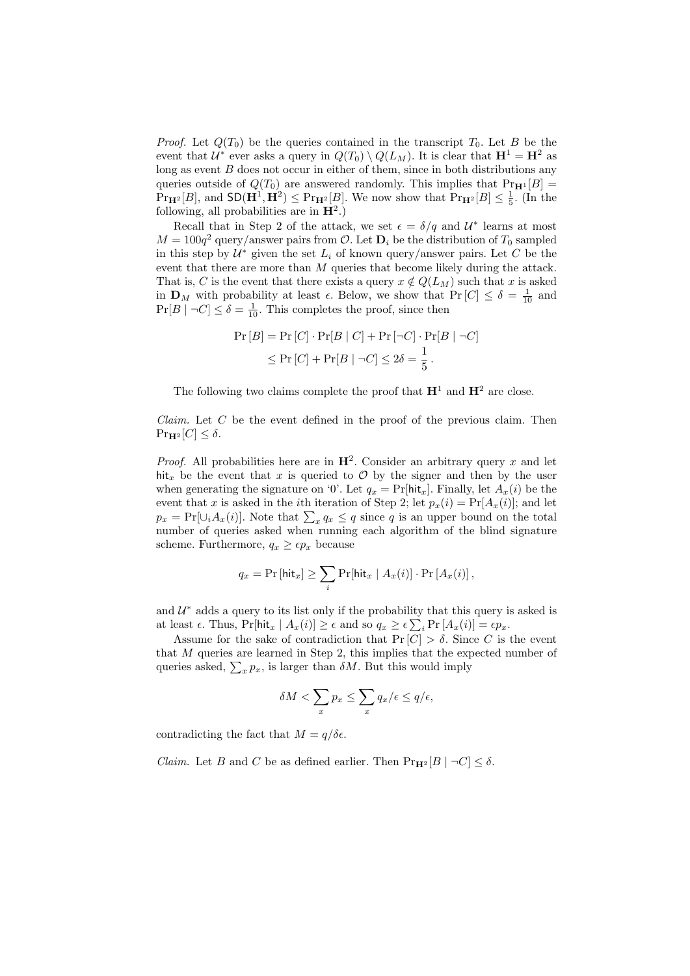*Proof.* Let  $Q(T_0)$  be the queries contained in the transcript  $T_0$ . Let B be the event that  $\mathcal{U}^*$  ever asks a query in  $Q(T_0) \setminus Q(L_M)$ . It is clear that  $\mathbf{H}^1 = \mathbf{H}^2$  as long as event  $B$  does not occur in either of them, since in both distributions any queries outside of  $Q(T_0)$  are answered randomly. This implies that  $Pr_{\mathbf{H}^1}[B] =$  $\Pr_{\mathbf{H}^2}[B]$ , and  $\mathsf{SD}(\mathbf{H}^1, \mathbf{H}^2) \leq \Pr_{\mathbf{H}^2}[B]$ . We now show that  $\Pr_{\mathbf{H}^2}[B] \leq \frac{1}{5}$ . (In the following, all probabilities are in  $H^2$ .)

Recall that in Step 2 of the attack, we set  $\epsilon = \delta/q$  and  $\mathcal{U}^*$  learns at most  $M = 100q^2$  query/answer pairs from  $\mathcal{O}$ . Let  $\mathbf{D}_i$  be the distribution of  $T_0$  sampled in this step by  $\mathcal{U}^*$  given the set  $L_i$  of known query/answer pairs. Let C be the event that there are more than  $M$  queries that become likely during the attack. That is, C is the event that there exists a query  $x \notin Q(L_M)$  such that x is asked in  $\mathbf{D}_M$  with probability at least  $\epsilon$ . Below, we show that  $\Pr[C] \leq \delta = \frac{1}{10}$  and  $Pr[B \mid \neg C] \le \delta = \frac{1}{10}$ . This completes the proof, since then

$$
\Pr[B] = \Pr[C] \cdot \Pr[B \mid C] + \Pr[\neg C] \cdot \Pr[B \mid \neg C]
$$
  
\$\leq \Pr[C] + \Pr[B \mid \neg C] \leq 2\delta = \frac{1}{5}\$.

The following two claims complete the proof that  $\mathbf{H}^1$  and  $\mathbf{H}^2$  are close.

*Claim.* Let  $C$  be the event defined in the proof of the previous claim. Then  $\Pr_{\mathbf{H}^2}[C] \leq \delta.$ 

*Proof.* All probabilities here are in  $\mathbb{H}^2$ . Consider an arbitrary query x and let hit<sub>x</sub> be the event that x is queried to  $\mathcal O$  by the signer and then by the user when generating the signature on '0'. Let  $q_x = Pr[hit_x]$ . Finally, let  $A_x(i)$  be the event that x is asked in the *i*th iteration of Step 2; let  $p_x(i) = Pr[A_x(i)]$ ; and let  $p_x = Pr[\cup_i A_x(i)]$ . Note that  $\sum_x q_x \leq q$  since q is an upper bound on the total number of queries asked when running each algorithm of the blind signature scheme. Furthermore,  $q_x \geq \epsilon p_x$  because

$$
q_x = \Pr[\mathsf{hit}_x] \ge \sum_i \Pr[\mathsf{hit}_x \mid A_x(i)] \cdot \Pr[A_x(i)],
$$

and  $\mathcal{U}^*$  adds a query to its list only if the probability that this query is asked is at least  $\epsilon$ . Thus,  $\Pr[\text{hit}_x \mid A_x(i)] \ge \epsilon$  and so  $q_x \ge \epsilon \sum_i \Pr[A_x(i)] = \epsilon p_x$ .

Assume for the sake of contradiction that  $Pr[C] > \delta$ . Since C is the event that M queries are learned in Step 2, this implies that the expected number of queries asked,  $\sum_{x} p_x$ , is larger than  $\delta M$ . But this would imply

$$
\delta M < \sum_{x} p_x \le \sum_{x} q_x/\epsilon \le q/\epsilon,
$$

contradicting the fact that  $M = q/\delta \epsilon$ .

*Claim.* Let B and C be as defined earlier. Then  $\Pr_{\mathbf{H}^2}[B \mid \neg C] \leq \delta$ .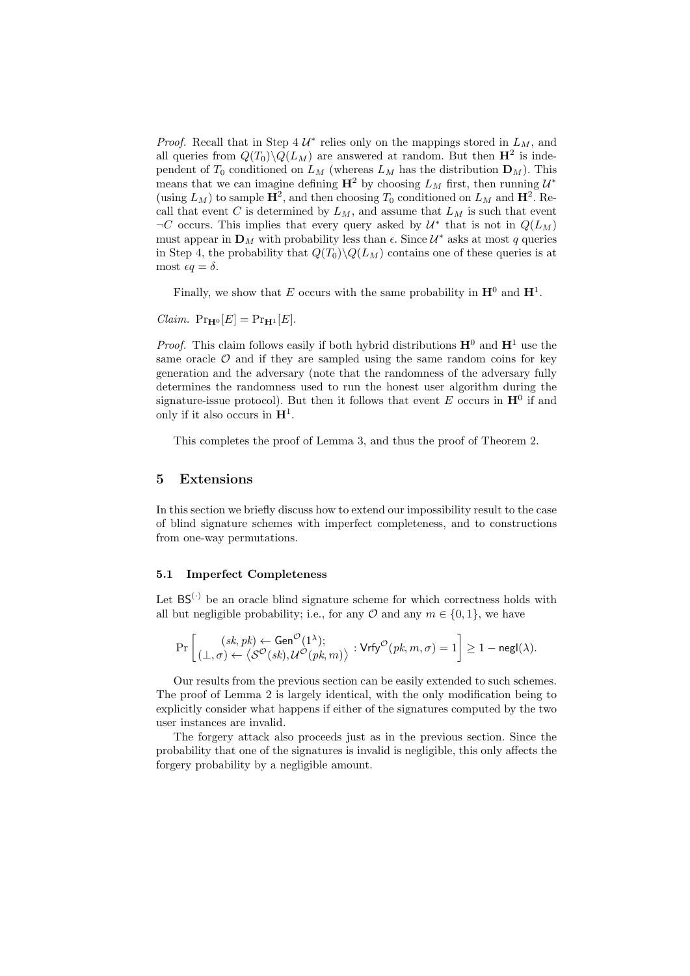*Proof.* Recall that in Step 4  $\mathcal{U}^*$  relies only on the mappings stored in  $L_M$ , and all queries from  $Q(T_0)\backslash Q(L_M)$  are answered at random. But then  $\mathbf{H}^2$  is independent of  $T_0$  conditioned on  $L_M$  (whereas  $L_M$  has the distribution  $\mathbf{D}_M$ ). This means that we can imagine defining  $\mathbf{H}^2$  by choosing  $L_M$  first, then running  $\mathcal{U}^*$ (using  $L_M$ ) to sample  $\mathbf{H}^2$ , and then choosing  $T_0$  conditioned on  $L_M$  and  $\mathbf{H}^2$ . Recall that event C is determined by  $L_M$ , and assume that  $L_M$  is such that event  $\neg C$  occurs. This implies that every query asked by  $\mathcal{U}^*$  that is not in  $Q(L_M)$ must appear in  $\mathbf{D}_M$  with probability less than  $\epsilon$ . Since  $\mathcal{U}^*$  asks at most q queries in Step 4, the probability that  $Q(T_0)\backslash Q(L_M)$  contains one of these queries is at most  $\epsilon q = \delta$ .

Finally, we show that E occurs with the same probability in  $\mathbf{H}^0$  and  $\mathbf{H}^1$ .

*Claim.*  $Pr_{\mathbf{H}^0}[E] = Pr_{\mathbf{H}^1}[E]$ .

*Proof.* This claim follows easily if both hybrid distributions  $\mathbf{H}^0$  and  $\mathbf{H}^1$  use the same oracle  $\mathcal O$  and if they are sampled using the same random coins for key generation and the adversary (note that the randomness of the adversary fully determines the randomness used to run the honest user algorithm during the signature-issue protocol). But then it follows that event E occurs in  $\mathbf{H}^0$  if and only if it also occurs in  $\mathbf{H}^1$ .

This completes the proof of Lemma 3, and thus the proof of Theorem 2.

## 5 Extensions

In this section we briefly discuss how to extend our impossibility result to the case of blind signature schemes with imperfect completeness, and to constructions from one-way permutations.

#### 5.1 Imperfect Completeness

Let  $BS^{(\cdot)}$  be an oracle blind signature scheme for which correctness holds with all but negligible probability; i.e., for any  $\mathcal O$  and any  $m \in \{0,1\}$ , we have

$$
\Pr\left[\frac{(sk,pk) \leftarrow \mathsf{Gen}^{\mathcal{O}}(1^\lambda);}{(\bot,\sigma) \leftarrow \left\langle \mathcal{S}^{\mathcal{O}}(sk), \mathcal{U}^{\mathcal{O}}(pk,m) \right\rangle} : \mathsf{Vrfy}^{\mathcal{O}}(pk,m,\sigma) = 1 \right] \ge 1 - \mathsf{negl}(\lambda).
$$

Our results from the previous section can be easily extended to such schemes. The proof of Lemma 2 is largely identical, with the only modification being to explicitly consider what happens if either of the signatures computed by the two user instances are invalid.

The forgery attack also proceeds just as in the previous section. Since the probability that one of the signatures is invalid is negligible, this only affects the forgery probability by a negligible amount.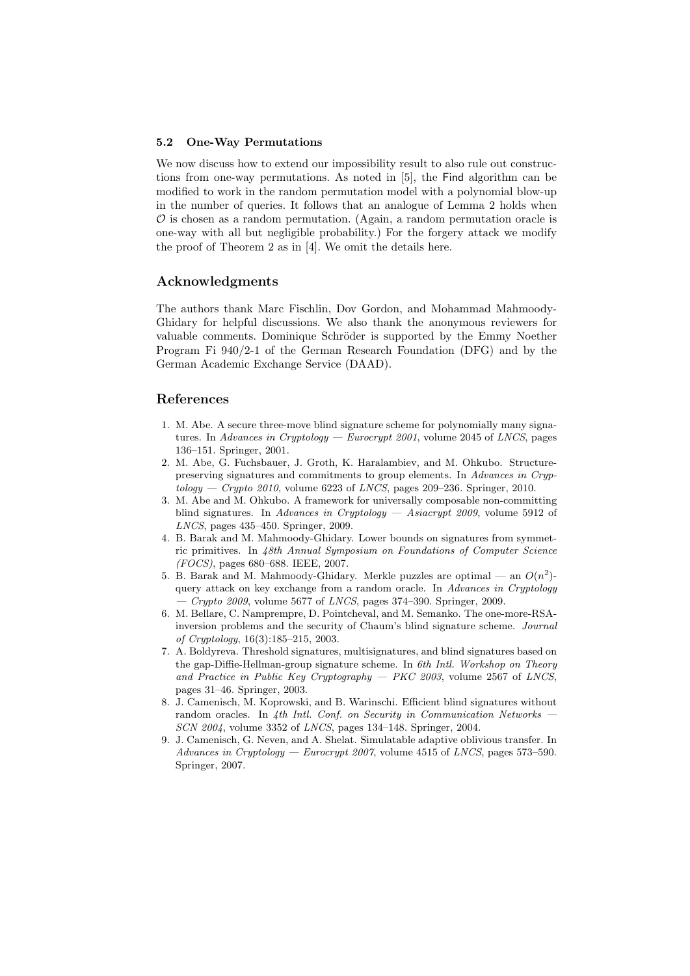#### 5.2 One-Way Permutations

We now discuss how to extend our impossibility result to also rule out constructions from one-way permutations. As noted in [5], the Find algorithm can be modified to work in the random permutation model with a polynomial blow-up in the number of queries. It follows that an analogue of Lemma 2 holds when  $\mathcal O$  is chosen as a random permutation. (Again, a random permutation oracle is one-way with all but negligible probability.) For the forgery attack we modify the proof of Theorem 2 as in [4]. We omit the details here.

#### Acknowledgments

The authors thank Marc Fischlin, Dov Gordon, and Mohammad Mahmoody-Ghidary for helpful discussions. We also thank the anonymous reviewers for valuable comments. Dominique Schröder is supported by the Emmy Noether Program Fi 940/2-1 of the German Research Foundation (DFG) and by the German Academic Exchange Service (DAAD).

## References

- 1. M. Abe. A secure three-move blind signature scheme for polynomially many signatures. In Advances in Cryptology — Eurocrypt 2001, volume 2045 of LNCS, pages 136–151. Springer, 2001.
- 2. M. Abe, G. Fuchsbauer, J. Groth, K. Haralambiev, and M. Ohkubo. Structurepreserving signatures and commitments to group elements. In Advances in Cryp $tology - Crypto 2010$ , volume 6223 of *LNCS*, pages 209-236. Springer, 2010.
- 3. M. Abe and M. Ohkubo. A framework for universally composable non-committing blind signatures. In Advances in Cryptology — Asiacrypt 2009, volume 5912 of LNCS, pages 435–450. Springer, 2009.
- 4. B. Barak and M. Mahmoody-Ghidary. Lower bounds on signatures from symmetric primitives. In 48th Annual Symposium on Foundations of Computer Science (FOCS), pages 680–688. IEEE, 2007.
- 5. B. Barak and M. Mahmoody-Ghidary. Merkle puzzles are optimal an  $O(n^2)$ query attack on key exchange from a random oracle. In Advances in Cryptology  $-$  Crypto 2009, volume 5677 of LNCS, pages 374–390. Springer, 2009.
- 6. M. Bellare, C. Namprempre, D. Pointcheval, and M. Semanko. The one-more-RSAinversion problems and the security of Chaum's blind signature scheme. Journal of Cryptology, 16(3):185–215, 2003.
- 7. A. Boldyreva. Threshold signatures, multisignatures, and blind signatures based on the gap-Diffie-Hellman-group signature scheme. In 6th Intl. Workshop on Theory and Practice in Public Key Cryptography  $-$  PKC 2003, volume 2567 of LNCS, pages 31–46. Springer, 2003.
- 8. J. Camenisch, M. Koprowski, and B. Warinschi. Efficient blind signatures without random oracles. In 4th Intl. Conf. on Security in Communication Networks SCN 2004, volume 3352 of LNCS, pages 134–148. Springer, 2004.
- 9. J. Camenisch, G. Neven, and A. Shelat. Simulatable adaptive oblivious transfer. In Advances in Cryptology — Eurocrypt 2007, volume 4515 of LNCS, pages 573–590. Springer, 2007.